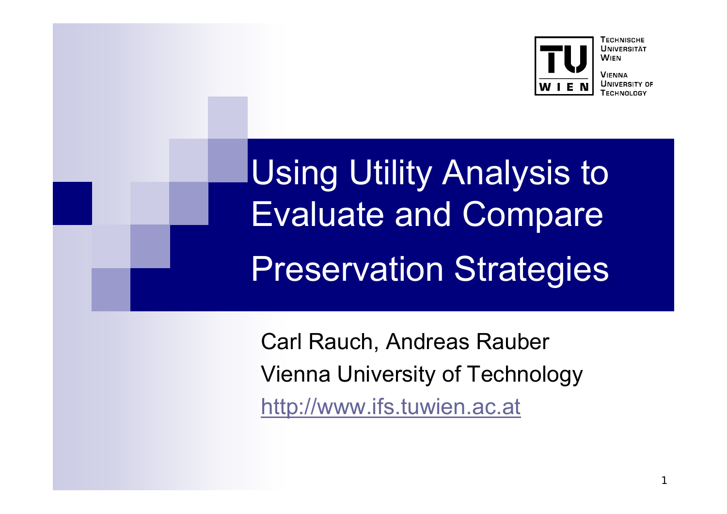

**VIENNA UNIVERSITY OF** 

Using Utility Analysis to Evaluate and Compare Preservation Strategies

Carl Rauch, Andreas Rauber Vienna University of Technology http://www.ifs.tuwien.ac.at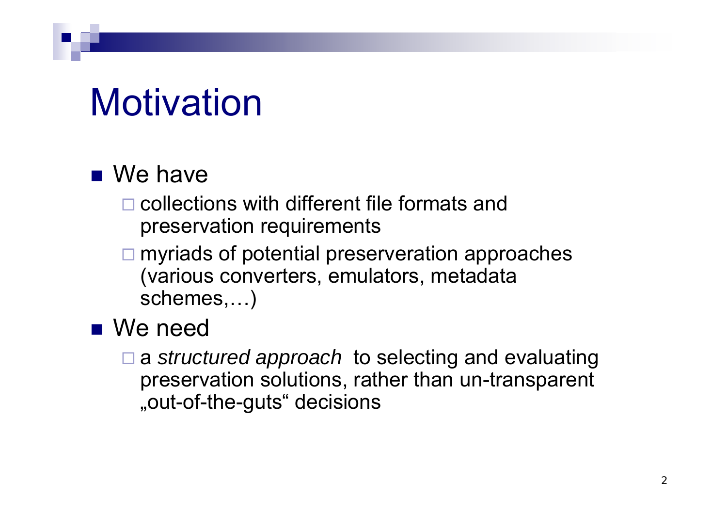### Motivation

### ■ We have

- $\square$  collections with different file formats and preservation requirements
- **□** myriads of potential preserveration approaches (various converters, emulators, metadata schemes,…)

#### ■ We need

 <sup>a</sup>*structured approach* to selecting and evaluating preservation solutions, rather than un-transparent "out-of-the-guts" decisions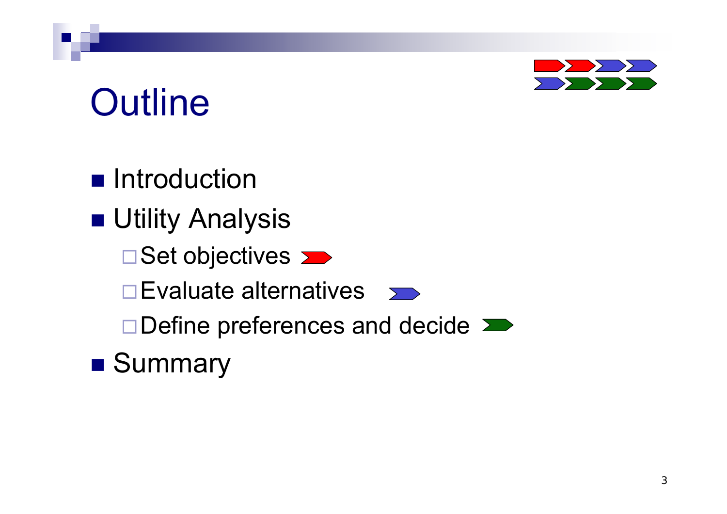# **Outline**

**n** Introduction

■ Utility Analysis

Set objectives **>>** 

 $\square$  Evaluate alternatives  $\square$ 

Define preferences and decide  $\sum$ 

**B** Summary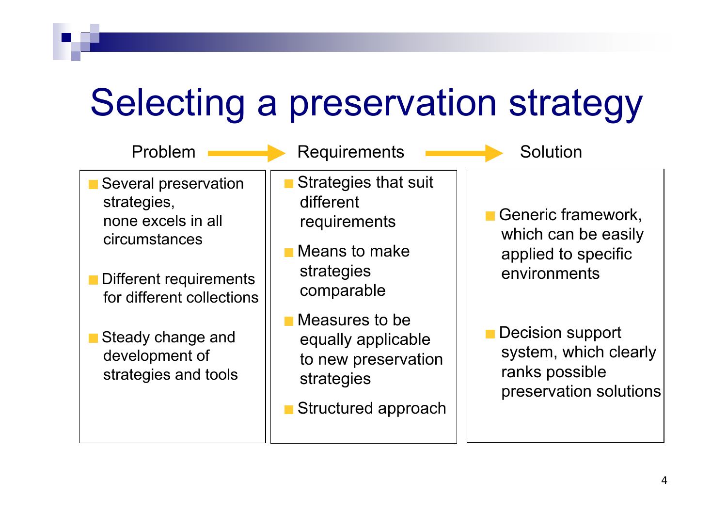### Selecting a preservation strategy

| Problem                                                                                                                           | <b>Requirements</b>                                                                              | Solution                                                                                     |
|-----------------------------------------------------------------------------------------------------------------------------------|--------------------------------------------------------------------------------------------------|----------------------------------------------------------------------------------------------|
| Several preservation<br>strategies,<br>none excels in all<br>circumstances<br>Different requirements<br>for different collections | Strategies that suit<br>different<br>requirements<br>Means to make<br>strategies<br>comparable   | <b>E</b> Generic framework,<br>which can be easily<br>applied to specific<br>environments    |
| Steady change and<br>development of<br>strategies and tools                                                                       | Measures to be<br>equally applicable<br>to new preservation<br>strategies<br>Structured approach | <b>Decision support</b><br>system, which clearly<br>ranks possible<br>preservation solutions |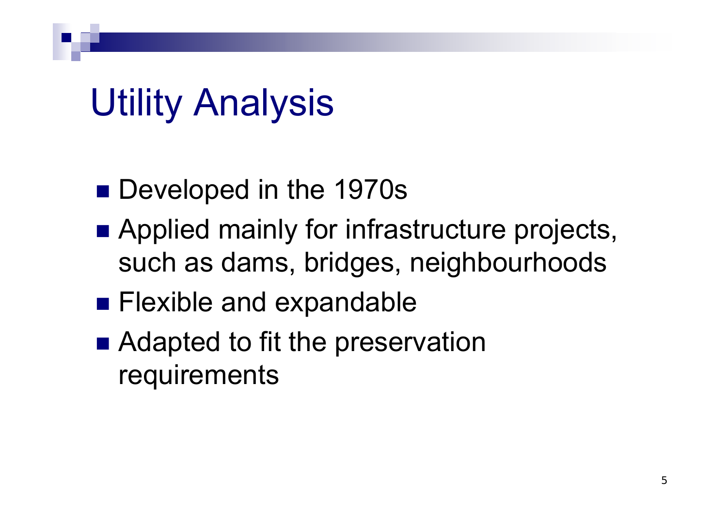### Utility Analysis

- Developed in the 1970s
- **Applied mainly for infrastructure projects,** such as dams, bridges, neighbourhoods
- **Flexible and expandable**
- Adapted to fit the preservation requirements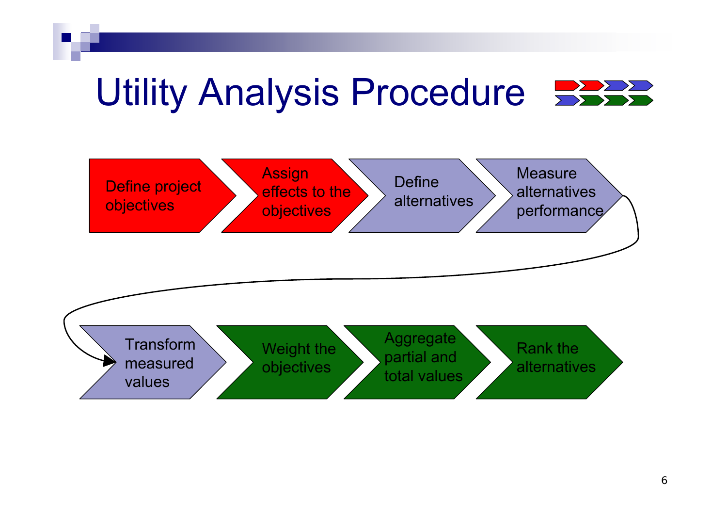#### Utility Analysis Procedure  $\sum$

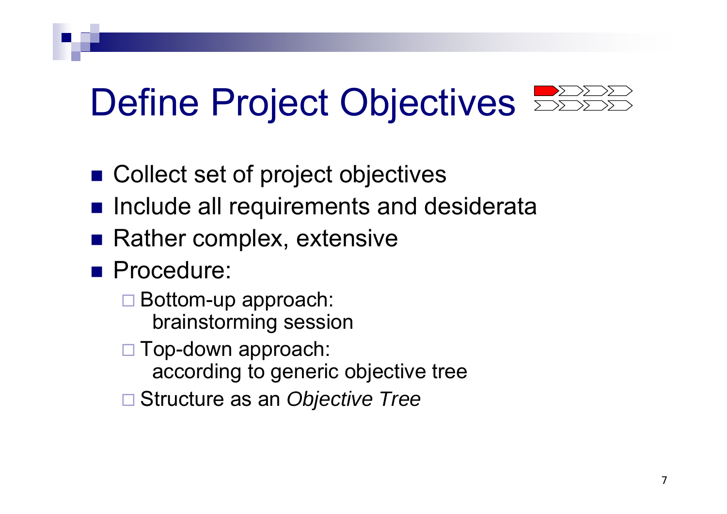- Collect set of project objectives
- **n** Include all requirements and desiderata
- Rather complex, extensive
- **Procedure:** 
	- Bottom-up approach: brainstorming session
	- Top-down approach:
		- according to generic objective tree
	- Structure as an *Objective Tree*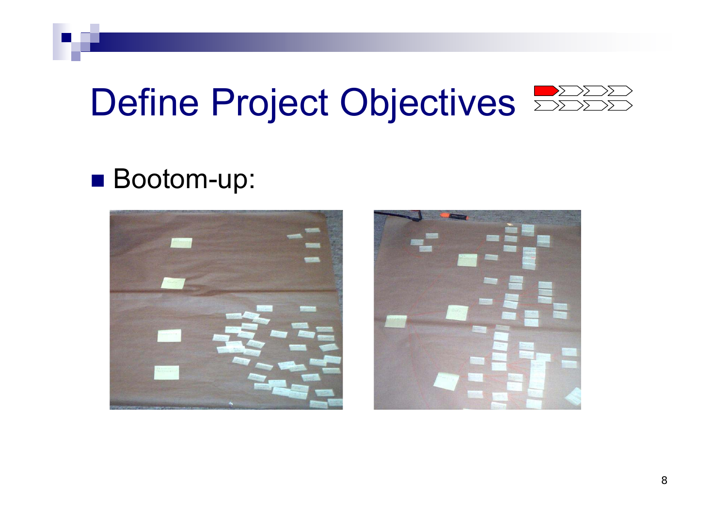### ■ Bootom-up:



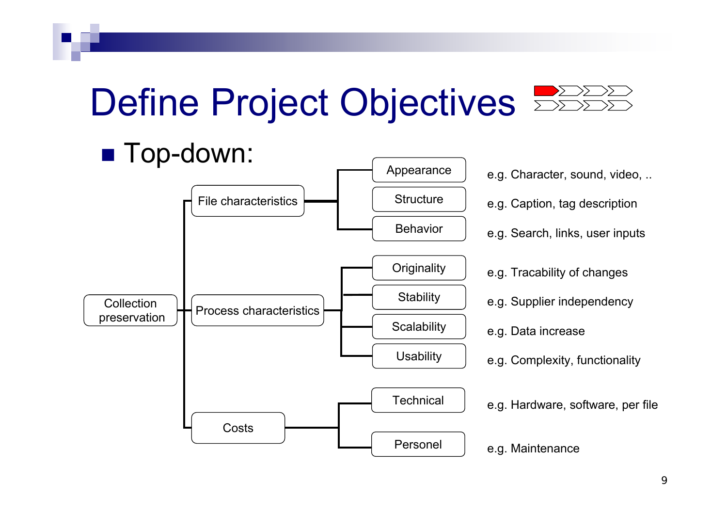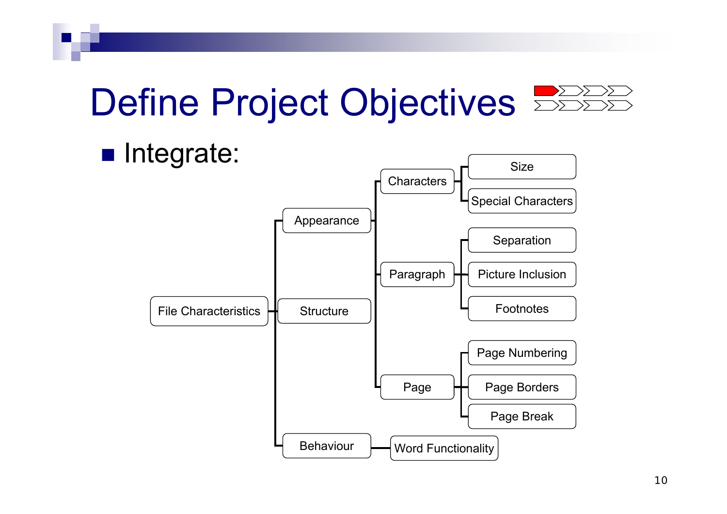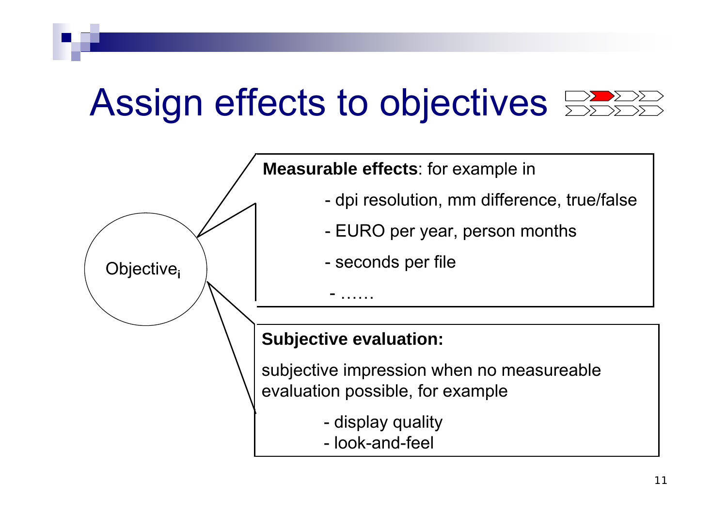### Assign effects to objectives

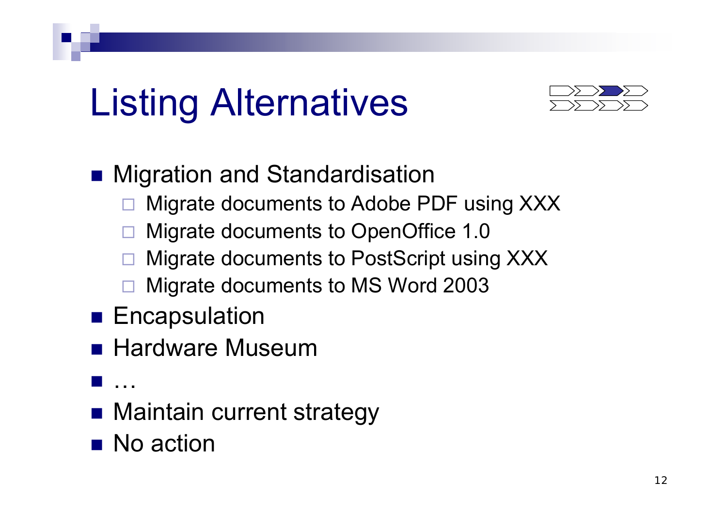# Listing Alternatives



#### ■ Migration and Standardisation

- $\Box$ Migrate documents to Adobe PDF using XXX
- $\Box$ Migrate documents to OpenOffice 1.0
- $\Box$ Migrate documents to PostScript using XXX
- $\Box$ Migrate documents to MS Word 2003
- $\blacksquare$  Encapsulation
- **Hardware Museum**
- $\frac{1}{2}$ …
- Maintain current strategy
- No action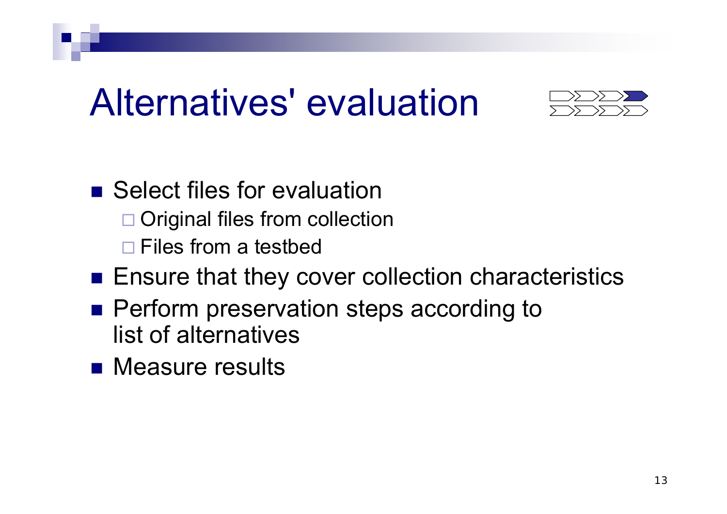### Alternatives' evaluation



- Select files for evaluation □ Original files from collection □ Files from a testbed
- $\blacksquare$  Ensure that they cover collection characteristics
- **Perform preservation steps according to** list of alternatives
- **Reasure results**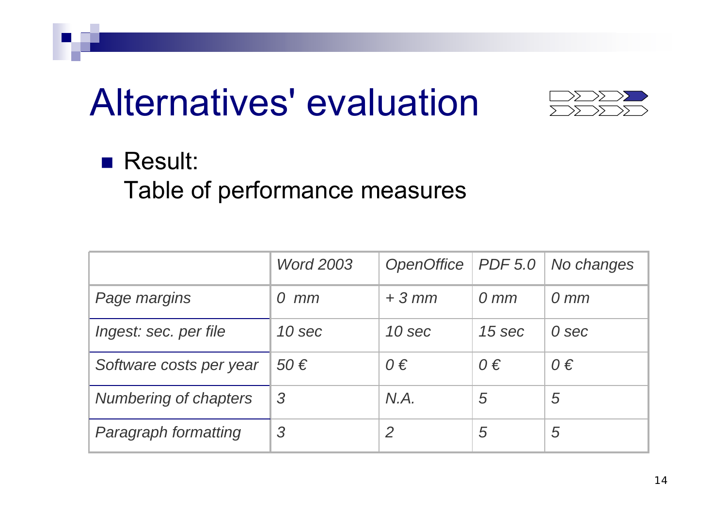### Alternatives' evaluation



#### **■ Result:**

Table of performance measures

|                         | <b>Word 2003</b> | OpenOffice | PDF 5.0          | No changes       |
|-------------------------|------------------|------------|------------------|------------------|
| Page margins            | mm<br>$\Omega$   | $+3$ mm    | $0 \, \text{mm}$ | $0 \, \text{mm}$ |
| Ingest: sec. per file   | 10 sec           | 10 sec     | 15 sec           | 0 sec            |
| Software costs per year | 50€              | $0 \in$    | $0 \in$          | $0 \in$          |
| Numbering of chapters   | 3                | N.A.       | 5                | 5                |
| Paragraph formatting    | 3                | 2          | 5                | 5                |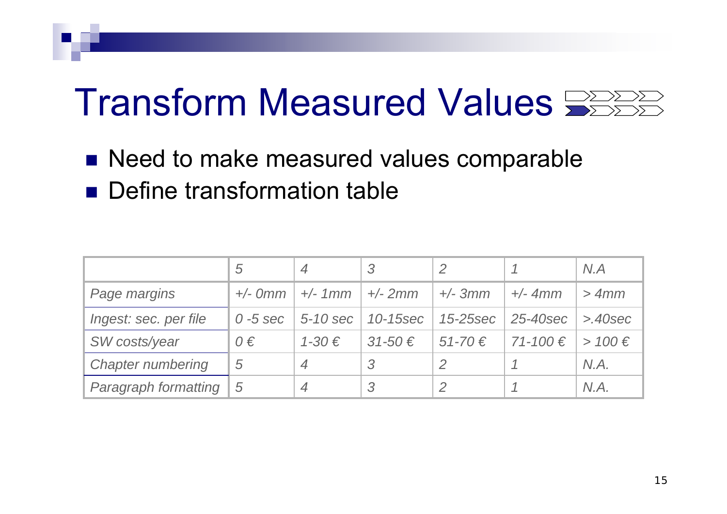### Transform Measured Values  $\mathbb{R}^{\geq 2222}$

- Need to make measured values comparable
- **Define transformation table**

|                          | $\overline{5}$ | $\overline{4}$ | 3             |               |                | N.A         |
|--------------------------|----------------|----------------|---------------|---------------|----------------|-------------|
| Page margins             | $+/-$ Omm      | $+/- 1mm$      | $+/- 2mm$     | $+/- 3mm$     | $+/- 4mm$      | > 4mm       |
| Ingest: sec. per file    | $0 - 5$ sec    | 5-10 sec       | 10-15sec      | $15 - 25$ sec | 25-40sec       | $>40$ sec   |
| SW costs/year            | $0 \in$        | $1 - 30 \in$   | $31 - 50 \in$ | $51 - 70 \in$ | $71 - 100 \in$ | > $100 \in$ |
| <b>Chapter numbering</b> | 5              | $\overline{4}$ | -3            |               |                | N.A.        |
| Paragraph formatting     | 5              | 4              | 3             |               |                | N.A.        |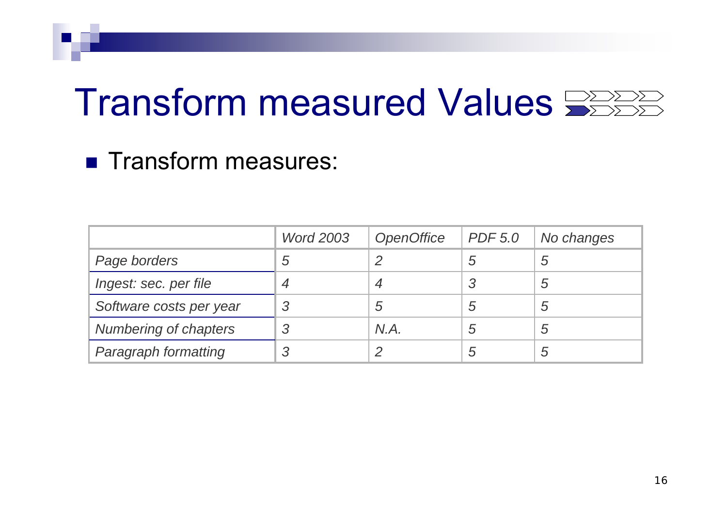### Transform measured Values

#### **Transform measures:**

|                         | <b>Word 2003</b> | <b>OpenOffice</b> | <b>PDF 5.0</b> | No changes |
|-------------------------|------------------|-------------------|----------------|------------|
| Page borders            | 5                | n                 | 5              | 5          |
| Ingest: sec. per file   | $\boldsymbol{4}$ |                   |                | 5          |
| Software costs per year | 3                | 5                 | 5              | 5          |
| Numbering of chapters   | 3                | N.A.              | 5              | 5          |
| Paragraph formatting    | 3                | C                 | 5              | 5          |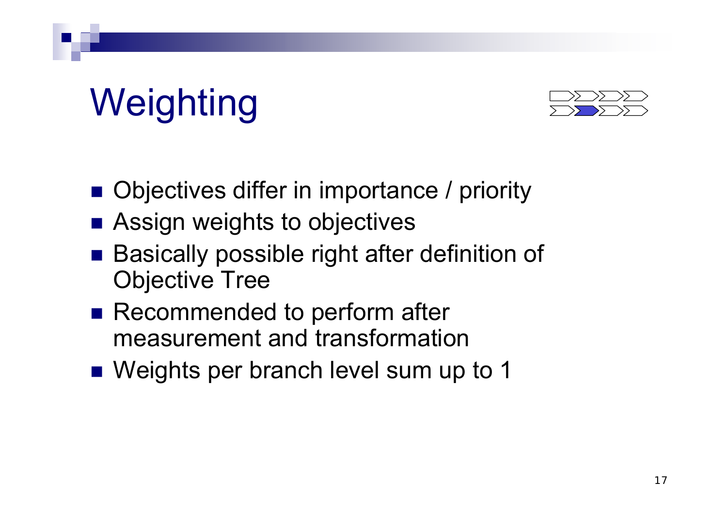# **Weighting**



- Objectives differ in importance / priority
- Assign weights to objectives
- Basically possible right after definition of Objective Tree
- Recommended to perform after measurement and transformation
- Weights per branch level sum up to 1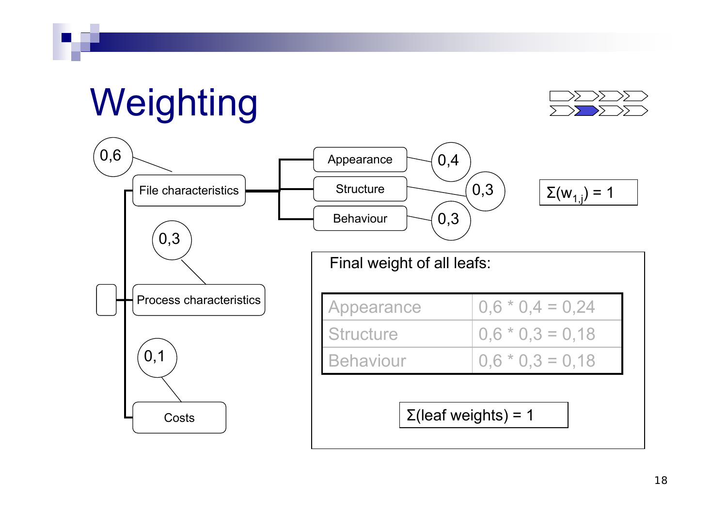### **Weighting**



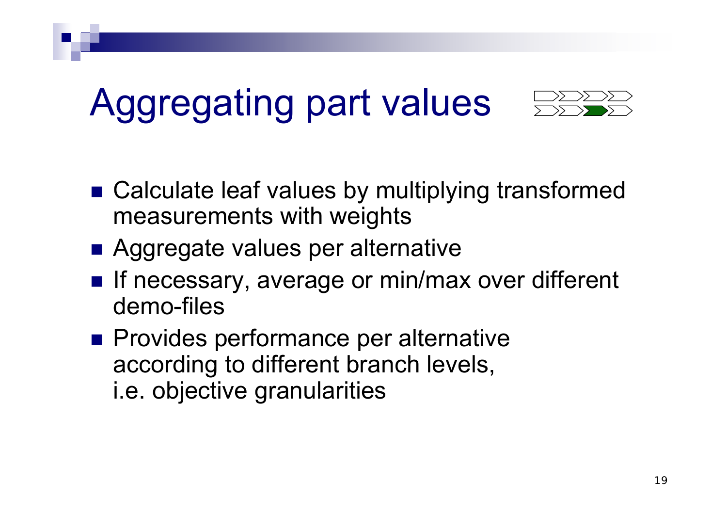### Aggregating part values



- Calculate leaf values by multiplying transformed measurements with weights
- Aggregate values per alternative
- If necessary, average or min/max over different demo-files
- **Provides performance per alternative** according to different branch levels, i.e. objective granularities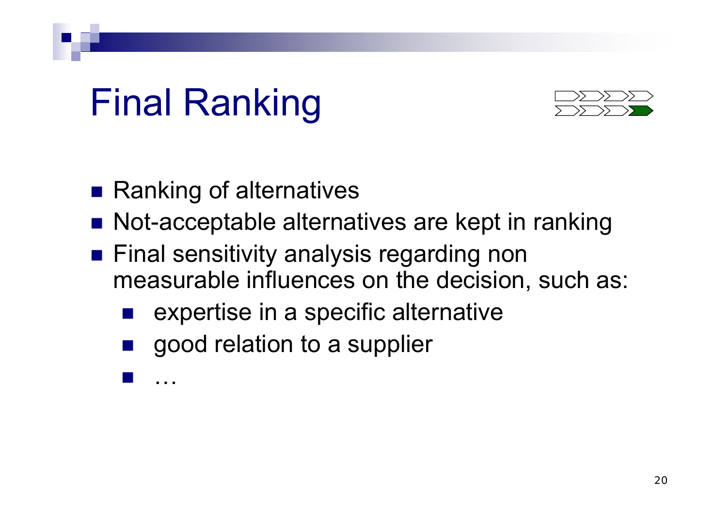### Final Ranking



- Ranking of alternatives
- Not-acceptable alternatives are kept in ranking
- $\blacksquare$  Final sensitivity analysis regarding non measurable influences on the decision, such as:
	- $\mathbb{R}^3$ expertise in a specific alternative
	- $\frac{1}{2}$ good relation to a supplier

 $\frac{1}{2}$ …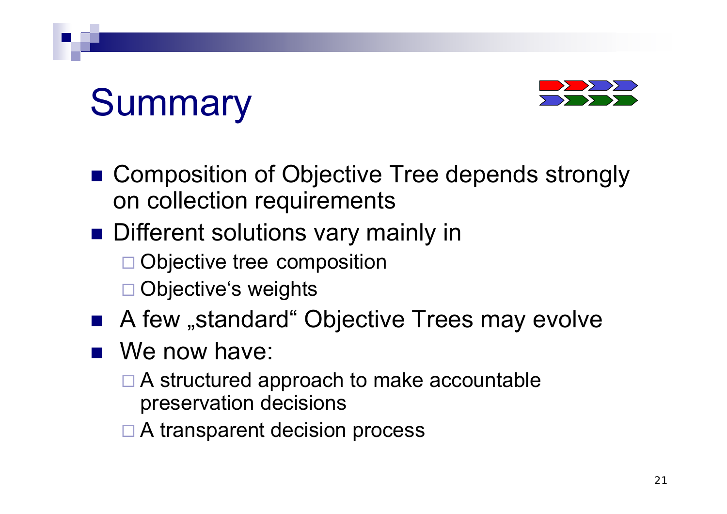# **Summary**



- Composition of Objective Tree depends strongly on collection requirements
- **Different solutions vary mainly in** 
	- □ Objective tree composition
	- □ Objective's weights
- A few "standard" Objective Trees may evolve
- We now have:
	- □ A structured approach to make accountable preservation decisions
	- □ A transparent decision process